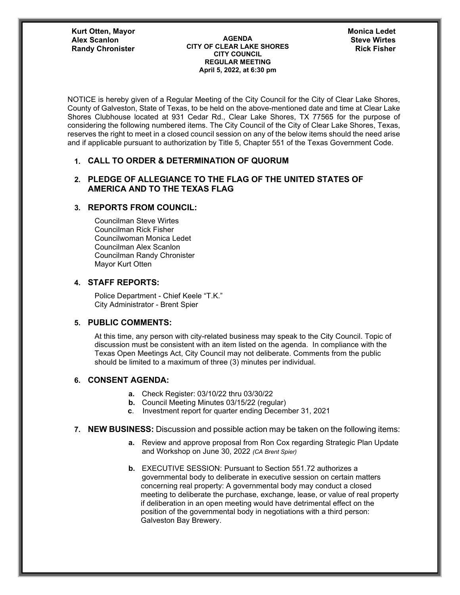**Kurt Otten, Mayor Randy Chronister** 

#### **AGENDA CITY OF CLEAR LAKE SHORES CITY COUNCIL REGULAR MEETING April 5, 2022, at 6:30 pm Alex Scanlon Steve Wirtes**

NOTICE is hereby given of a Regular Meeting of the City Council for the City of Clear Lake Shores, County of Galveston, State of Texas, to be held on the above-mentioned date and time at Clear Lake Shores Clubhouse located at 931 Cedar Rd., Clear Lake Shores, TX 77565 for the purpose of considering the following numbered items. The City Council of the City of Clear Lake Shores, Texas, reserves the right to meet in a closed council session on any of the below items should the need arise and if applicable pursuant to authorization by Title 5, Chapter 551 of the Texas Government Code.

## **1. CALL TO ORDER & DETERMINATION OF QUORUM**

## **2. PLEDGE OF ALLEGIANCE TO THE FLAG OF THE UNITED STATES OF AMERICA AND TO THE TEXAS FLAG**

# **3. REPORTS FROM COUNCIL:**

Councilman Steve Wirtes Councilman Rick Fisher Councilwoman Monica Ledet Councilman Alex Scanlon Councilman Randy Chronister Mayor Kurt Otten

## **4. STAFF REPORTS:**

Police Department - Chief Keele "T.K." City Administrator - Brent Spier

## **5. PUBLIC COMMENTS:**

At this time, any person with city-related business may speak to the City Council. Topic of discussion must be consistent with an item listed on the agenda. In compliance with the Texas Open Meetings Act, City Council may not deliberate. Comments from the public should be limited to a maximum of three (3) minutes per individual.

#### **6. CONSENT AGENDA:**

- **a.** Check Register: 03/10/22 thru 03/30/22
- **b.** Council Meeting Minutes 03/15/22 (regular)
- **c**. Investment report for quarter ending December 31, 2021

## **7. NEW BUSINESS:** Discussion and possible action may be taken on the following items:

- **a.** Review and approve proposal from Ron Cox regarding Strategic Plan Update and Workshop on June 30, 2022 *(CA Brent Spier)*
- **b.** EXECUTIVE SESSION: Pursuant to Section 551.72 authorizes a governmental body to deliberate in executive session on certain matters concerning real property: A governmental body may conduct a closed meeting to deliberate the purchase, exchange, lease, or value of real property if deliberation in an open meeting would have detrimental effect on the position of the governmental body in negotiations with a third person: Galveston Bay Brewery.